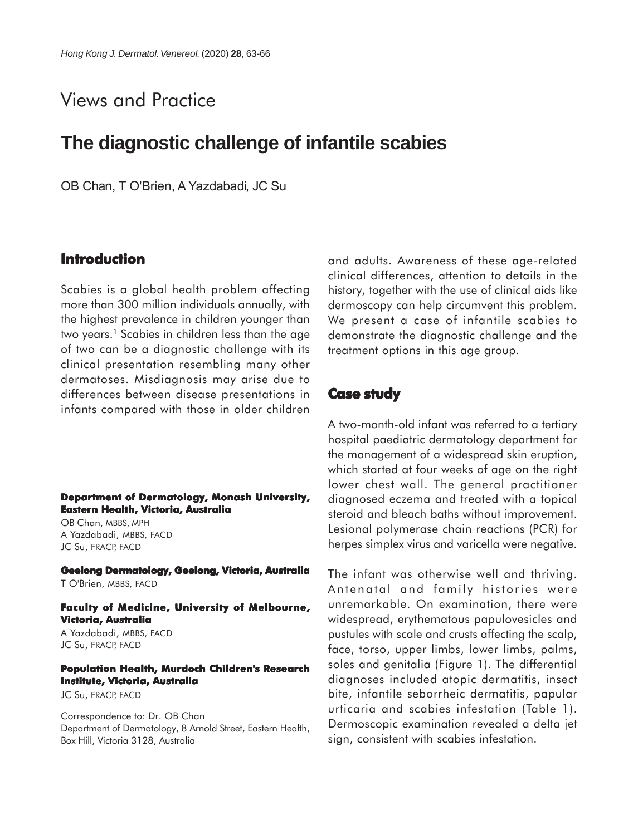# Views and Practice

## **The diagnostic challenge of infantile scabies**

OB Chan, T O'Brien, A Yazdabadi, JC Su

### **Introduction**

Scabies is a global health problem affecting more than 300 million individuals annually, with the highest prevalence in children younger than two years.<sup>1</sup> Scabies in children less than the age of two can be a diagnostic challenge with its clinical presentation resembling many other dermatoses. Misdiagnosis may arise due to differences between disease presentations in infants compared with those in older children

**Department of Dermatology, Monash University, Eastern Health, Victoria, Australia**

OB Chan, MBBS, MPH A Yazdabadi, MBBS, FACD JC Su, FRACP, FACD

**Geelong Dermatology, Geelong, Victoria, Australia** T O'Brien, MBBS, FACD

**Faculty of Medicine, University of Melbourne, Victoria, Australia**

A Yazdabadi, MBBS, FACD JC Su, FRACP, FACD

#### **Population Health, Murdoch Children's Research Institute, Victoria, Australia**

JC Su, FRACP, FACD

Correspondence to: Dr. OB Chan Department of Dermatology, 8 Arnold Street, Eastern Health, Box Hill, Victoria 3128, Australia

and adults. Awareness of these age-related clinical differences, attention to details in the history, together with the use of clinical aids like dermoscopy can help circumvent this problem. We present a case of infantile scabies to demonstrate the diagnostic challenge and the treatment options in this age group.

### **Case study**

A two-month-old infant was referred to a tertiary hospital paediatric dermatology department for the management of a widespread skin eruption, which started at four weeks of age on the right lower chest wall. The general practitioner diagnosed eczema and treated with a topical steroid and bleach baths without improvement. Lesional polymerase chain reactions (PCR) for herpes simplex virus and varicella were negative.

The infant was otherwise well and thriving. Antenatal and family histories were unremarkable. On examination, there were widespread, erythematous papulovesicles and pustules with scale and crusts affecting the scalp, face, torso, upper limbs, lower limbs, palms, soles and genitalia (Figure 1). The differential diagnoses included atopic dermatitis, insect bite, infantile seborrheic dermatitis, papular urticaria and scabies infestation (Table 1). Dermoscopic examination revealed a delta jet sign, consistent with scabies infestation.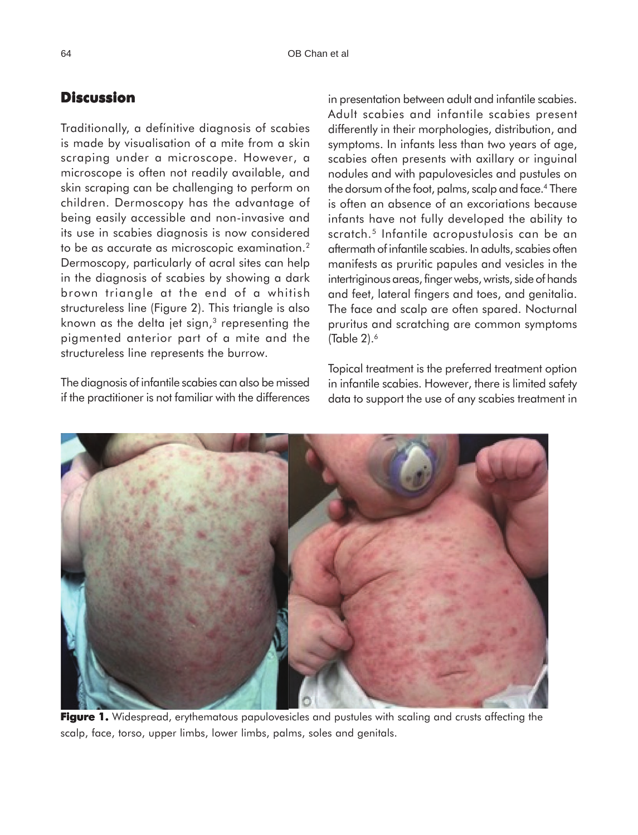### **Discussion**

Traditionally, a definitive diagnosis of scabies is made by visualisation of a mite from a skin scraping under a microscope. However, a microscope is often not readily available, and skin scraping can be challenging to perform on children. Dermoscopy has the advantage of being easily accessible and non-invasive and its use in scabies diagnosis is now considered to be as accurate as microscopic examination.2 Dermoscopy, particularly of acral sites can help in the diagnosis of scabies by showing a dark brown triangle at the end of a whitish structureless line (Figure 2). This triangle is also known as the delta jet sign, $3$  representing the pigmented anterior part of a mite and the structureless line represents the burrow.

The diagnosis of infantile scabies can also be missed if the practitioner is not familiar with the differences in presentation between adult and infantile scabies. Adult scabies and infantile scabies present differently in their morphologies, distribution, and symptoms. In infants less than two years of age, scabies often presents with axillary or inguinal nodules and with papulovesicles and pustules on the dorsum of the foot, palms, scalp and face.4 There is often an absence of an excoriations because infants have not fully developed the ability to scratch.<sup>5</sup> Infantile acropustulosis can be an aftermath of infantile scabies. In adults, scabies often manifests as pruritic papules and vesicles in the intertriginous areas, finger webs, wrists, side of hands and feet, lateral fingers and toes, and genitalia. The face and scalp are often spared. Nocturnal pruritus and scratching are common symptoms (Table  $2$ ). $<sup>6</sup>$ </sup>

Topical treatment is the preferred treatment option in infantile scabies. However, there is limited safety data to support the use of any scabies treatment in



**Figure 1.** Widespread, erythematous papulovesicles and pustules with scaling and crusts affecting the scalp, face, torso, upper limbs, lower limbs, palms, soles and genitals.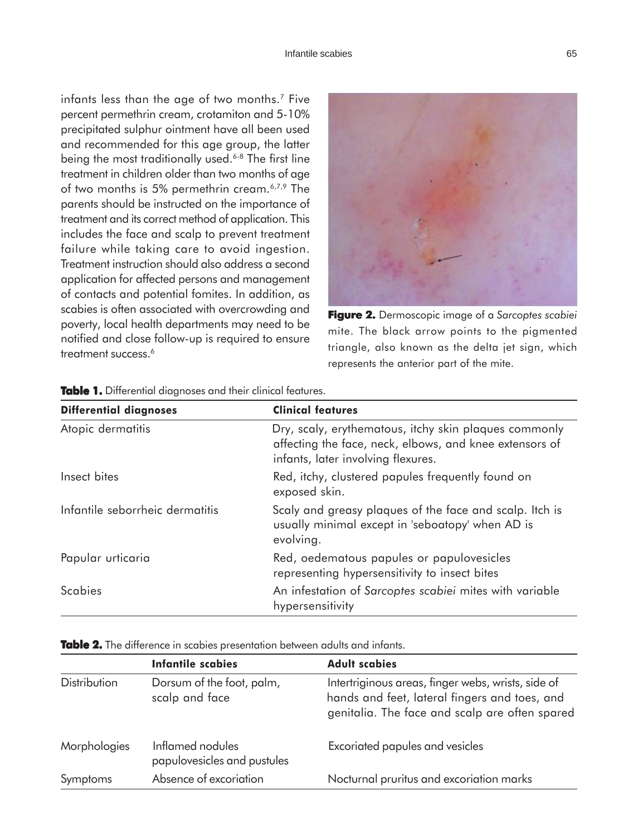infants less than the age of two months.<sup>7</sup> Five percent permethrin cream, crotamiton and 5-10% precipitated sulphur ointment have all been used and recommended for this age group, the latter being the most traditionally used.<sup>6-8</sup> The first line treatment in children older than two months of age of two months is 5% permethrin cream.6,7,9 The parents should be instructed on the importance of treatment and its correct method of application. This includes the face and scalp to prevent treatment failure while taking care to avoid ingestion. Treatment instruction should also address a second application for affected persons and management of contacts and potential fomites. In addition, as scabies is often associated with overcrowding and poverty, local health departments may need to be notified and close follow-up is required to ensure treatment success.<sup>6</sup>



**Figure 2. 2.**Dermoscopic image of a *Sarcoptes scabiei* mite. The black arrow points to the pigmented triangle, also known as the delta jet sign, which represents the anterior part of the mite.

| <b>Differential diagnoses</b>   | <b>Clinical features</b>                                                                                                                               |
|---------------------------------|--------------------------------------------------------------------------------------------------------------------------------------------------------|
| Atopic dermatitis               | Dry, scaly, erythematous, itchy skin plaques commonly<br>affecting the face, neck, elbows, and knee extensors of<br>infants, later involving flexures. |
| Insect bites                    | Red, itchy, clustered papules frequently found on<br>exposed skin.                                                                                     |
| Infantile seborrheic dermatitis | Scaly and greasy plaques of the face and scalp. Itch is<br>usually minimal except in 'seboatopy' when AD is<br>evolving.                               |
| Papular urticaria               | Red, oedematous papules or papulovesicles<br>representing hypersensitivity to insect bites                                                             |
| <b>Scabies</b>                  | An infestation of Sarcoptes scabiei mites with variable<br>hypersensitivity                                                                            |

|  | Table 1. Differential diagnoses and their clinical features. |  |  |  |
|--|--------------------------------------------------------------|--|--|--|
|  |                                                              |  |  |  |

**Table 2.** The difference in scabies presentation between adults and infants.

|                     | <b>Infantile scabies</b>                        | <b>Adult scabies</b>                                                                                                                                  |
|---------------------|-------------------------------------------------|-------------------------------------------------------------------------------------------------------------------------------------------------------|
| <b>Distribution</b> | Dorsum of the foot, palm,<br>scalp and face     | Intertriginous areas, finger webs, wrists, side of<br>hands and feet, lateral fingers and toes, and<br>genitalia. The face and scalp are often spared |
| Morphologies        | Inflamed nodules<br>papulovesicles and pustules | Excoriated papules and vesicles                                                                                                                       |
| Symptoms            | Absence of excoriation                          | Nocturnal pruritus and excoriation marks                                                                                                              |